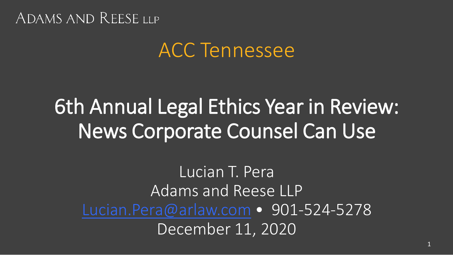# ACC Tennessee

# 6th Annual Legal Ethics Year in Review: News Corporate Counsel Can Use

Lucian T. Pera Adams and Reese LLP [Lucian.Pera@arlaw.com](mailto:Lucian.Pera@arlaw.com) · 901-524-5278 December 11, 2020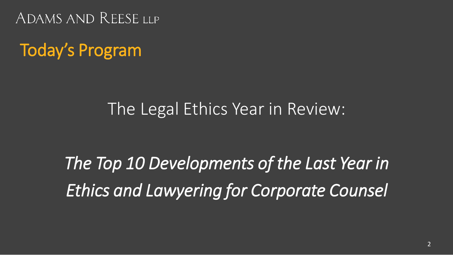Today's Program

### The Legal Ethics Year in Review:

*The Top 10 Developments of the Last Year in Ethics and Lawyering for Corporate Counsel*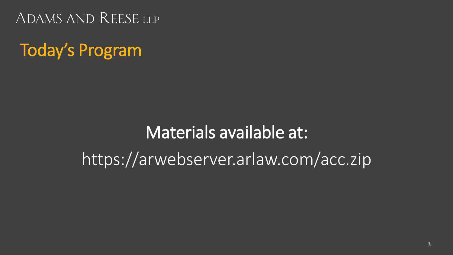Today's Program

# Materials available at: https://arwebserver.arlaw.com/acc.zip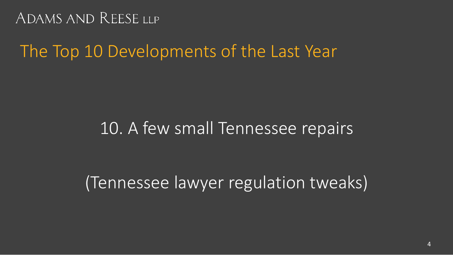# The Top 10 Developments of the Last Year

### 10. A few small Tennessee repairs

(Tennessee lawyer regulation tweaks)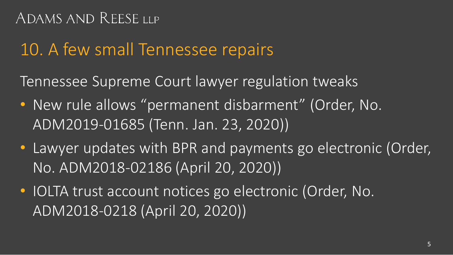# 10. A few small Tennessee repairs

Tennessee Supreme Court lawyer regulation tweaks

- New rule allows "permanent disbarment" (Order, No. ADM2019-01685 (Tenn. Jan. 23, 2020))
- Lawyer updates with BPR and payments go electronic (Order, No. ADM2018-02186 (April 20, 2020))
- IOLTA trust account notices go electronic (Order, No. ADM2018-0218 (April 20, 2020))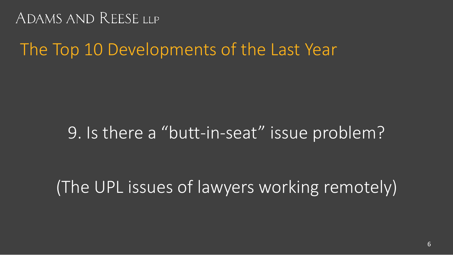### The Top 10 Developments of the Last Year

### 9. Is there a "butt-in-seat" issue problem?

(The UPL issues of lawyers working remotely)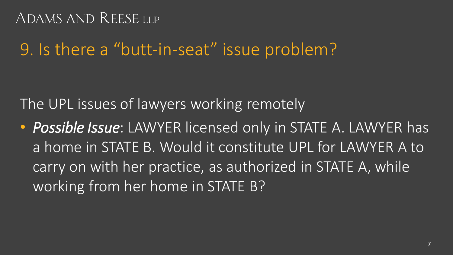### 9. Is there a "butt-in-seat" issue problem?

The UPL issues of lawyers working remotely

• *Possible Issue*: LAWYER licensed only in STATE A. LAWYER has a home in STATE B. Would it constitute UPL for LAWYER A to carry on with her practice, as authorized in STATE A, while working from her home in STATE B?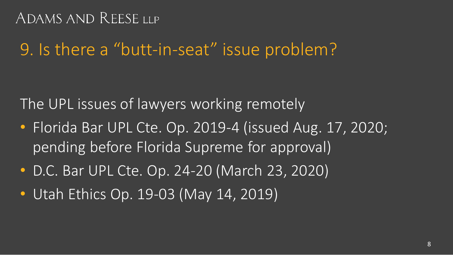### 9. Is there a "butt-in-seat" issue problem?

The UPL issues of lawyers working remotely

- Florida Bar UPL Cte. Op. 2019-4 (issued Aug. 17, 2020; pending before Florida Supreme for approval)
- D.C. Bar UPL Cte. Op. 24-20 (March 23, 2020)
- Utah Ethics Op. 19-03 (May 14, 2019)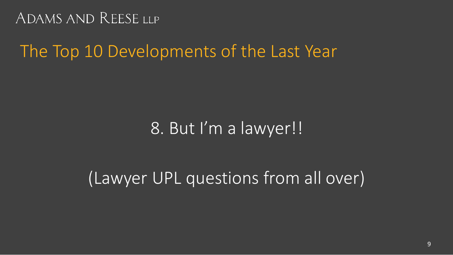# The Top 10 Developments of the Last Year

### 8. But I'm a lawyer!!

# (Lawyer UPL questions from all over)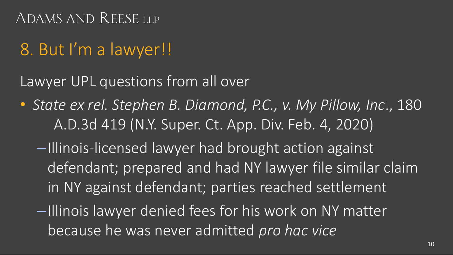# 8. But I'm a lawyer!!

Lawyer UPL questions from all over

- *State ex rel. Stephen B. Diamond, P.C., v. My Pillow, Inc*., 180 A.D.3d 419 (N.Y. Super. Ct. App. Div. Feb. 4, 2020)
	- –Illinois-licensed lawyer had brought action against defendant; prepared and had NY lawyer file similar claim in NY against defendant; parties reached settlement
	- –Illinois lawyer denied fees for his work on NY matter because he was never admitted *pro hac vice*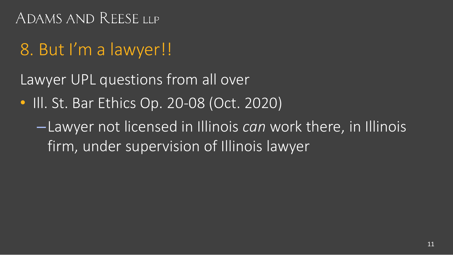# 8. But I'm a lawyer!!

Lawyer UPL questions from all over

• III. St. Bar Ethics Op. 20-08 (Oct. 2020)

–Lawyer not licensed in Illinois *can* work there, in Illinois firm, under supervision of Illinois lawyer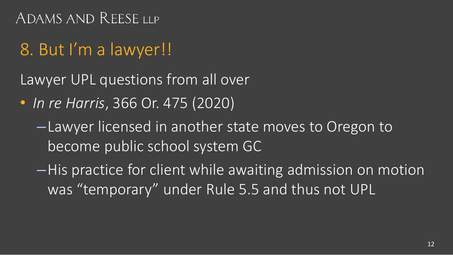# 8. But I'm a lawyer!!

Lawyer UPL questions from all over

- *In re Harris*, 366 Or. 475 (2020)
	- –Lawyer licensed in another state moves to Oregon to become public school system GC
	- –His practice for client while awaiting admission on motion was "temporary" under Rule 5.5 and thus not UPL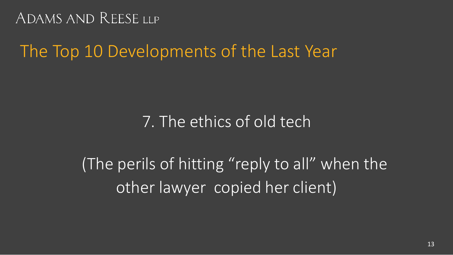# The Top 10 Developments of the Last Year

### 7. The ethics of old tech

(The perils of hitting "reply to all" when the other lawyer copied her client)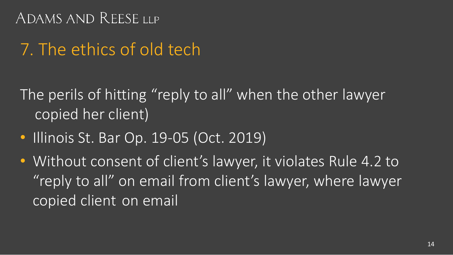# 7. The ethics of old tech

The perils of hitting "reply to all" when the other lawyer copied her client)

- Illinois St. Bar Op. 19-05 (Oct. 2019)
- Without consent of client's lawyer, it violates Rule 4.2 to "reply to all" on email from client's lawyer, where lawyer copied client on email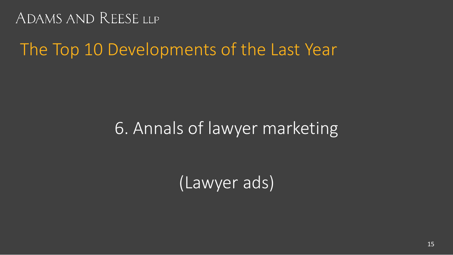### The Top 10 Developments of the Last Year

### 6. Annals of lawyer marketing

(Lawyer ads)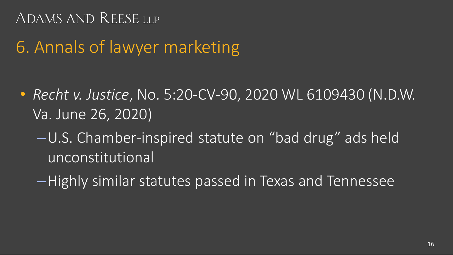## 6. Annals of lawyer marketing

- *Recht v. Justice*, No. 5:20-CV-90, 2020 WL 6109430 (N.D.W. Va. June 26, 2020)
	- –U.S. Chamber-inspired statute on "bad drug" ads held unconstitutional
	- –Highly similar statutes passed in Texas and Tennessee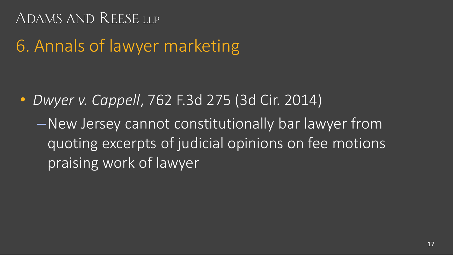# 6. Annals of lawyer marketing

• *Dwyer v. Cappell*, 762 F.3d 275 (3d Cir. 2014)

–New Jersey cannot constitutionally bar lawyer from quoting excerpts of judicial opinions on fee motions praising work of lawyer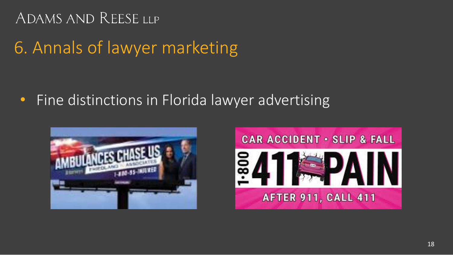# 6. Annals of lawyer marketing

• Fine distinctions in Florida lawyer advertising



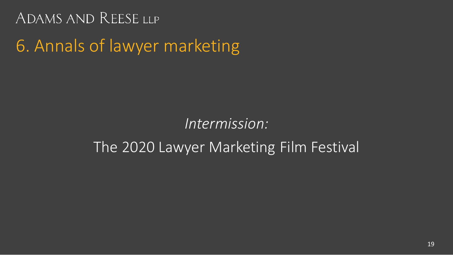#### *Intermission:*

#### The 2020 Lawyer Marketing Film Festival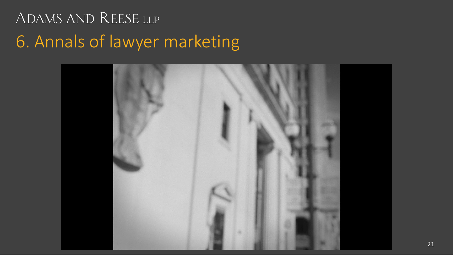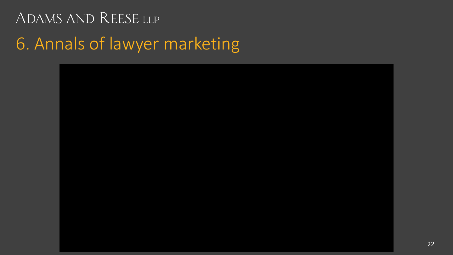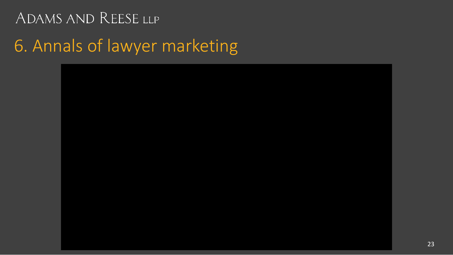6. Annals of lawyer marketing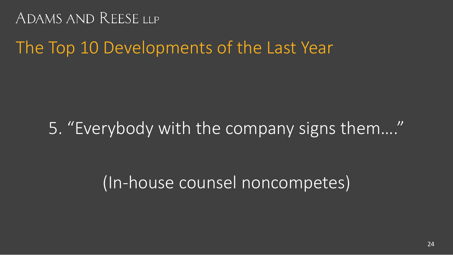### The Top 10 Developments of the Last Year

# 5. "Everybody with the company signs them…."

### (In-house counsel noncompetes)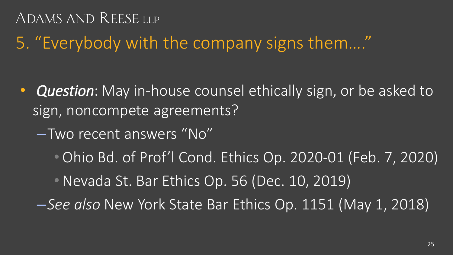5. "Everybody with the company signs them…."

- *Question*: May in-house counsel ethically sign, or be asked to sign, noncompete agreements?
	- –Two recent answers "No"
		- Ohio Bd. of Prof'l Cond. Ethics Op. 2020-01 (Feb. 7, 2020)

• Nevada St. Bar Ethics Op. 56 (Dec. 10, 2019)

–*See also* New York State Bar Ethics Op. 1151 (May 1, 2018)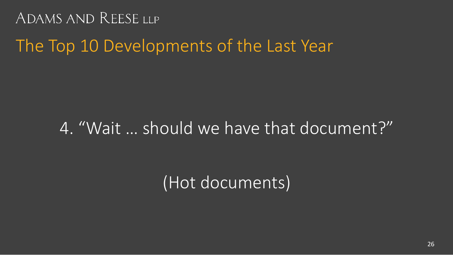### The Top 10 Developments of the Last Year

# 4. "Wait … should we have that document?"

(Hot documents)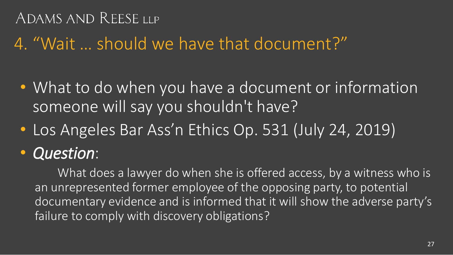### 4. "Wait … should we have that document?"

- What to do when you have a document or information someone will say you shouldn't have?
- Los Angeles Bar Ass'n Ethics Op. 531 (July 24, 2019)
- *Question*:

What does a lawyer do when she is offered access, by a witness who is an unrepresented former employee of the opposing party, to potential documentary evidence and is informed that it will show the adverse party's failure to comply with discovery obligations?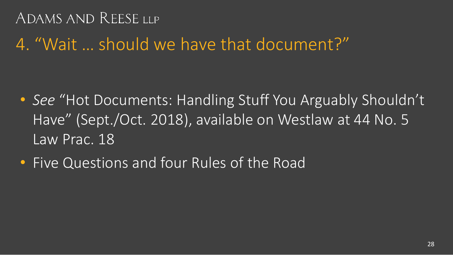4. "Wait … should we have that document?"

- *See* "Hot Documents: Handling Stuff You Arguably Shouldn't Have" (Sept./Oct. 2018), available on Westlaw at 44 No. 5 Law Prac. 18
- Five Questions and four Rules of the Road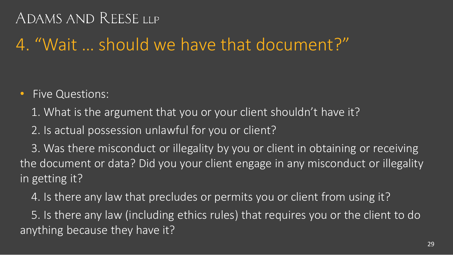# 4. "Wait … should we have that document?"

- Five Questions:
	- 1. What is the argument that you or your client shouldn't have it?
	- 2. Is actual possession unlawful for you or client?

3. Was there misconduct or illegality by you or client in obtaining or receiving the document or data? Did you your client engage in any misconduct or illegality in getting it?

4. Is there any law that precludes or permits you or client from using it?

5. Is there any law (including ethics rules) that requires you or the client to do anything because they have it?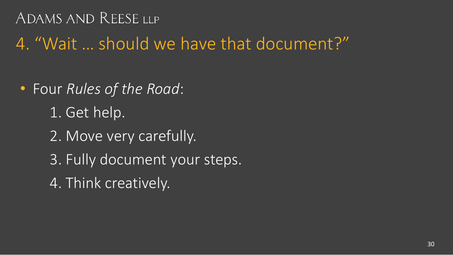4. "Wait … should we have that document?"

- Four *Rules of the Road*:
	- 1. Get help.
	- 2. Move very carefully.
	- 3. Fully document your steps.
	- 4. Think creatively.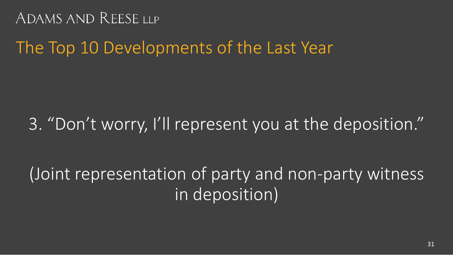The Top 10 Developments of the Last Year

### 3. "Don't worry, I'll represent you at the deposition."

# (Joint representation of party and non-party witness in deposition)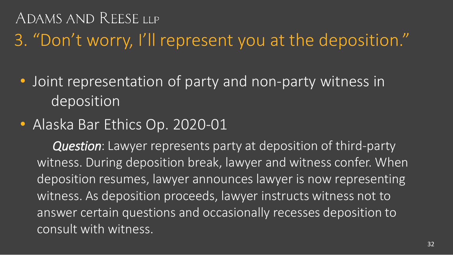3. "Don't worry, I'll represent you at the deposition."

- Joint representation of party and non-party witness in deposition
- Alaska Bar Ethics Op. 2020-01

*Question*: Lawyer represents party at deposition of third-party witness. During deposition break, lawyer and witness confer. When deposition resumes, lawyer announces lawyer is now representing witness. As deposition proceeds, lawyer instructs witness not to answer certain questions and occasionally recesses deposition to consult with witness.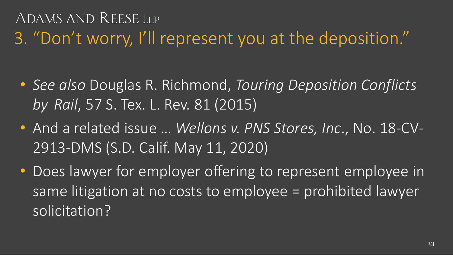# ADAMS AND REESE LLP 3. "Don't worry, I'll represent you at the deposition."

- *See also* Douglas R. Richmond, *Touring Deposition Conflicts by Rail*, 57 S. Tex. L. Rev. 81 (2015)
- And a related issue … *Wellons v. PNS Stores, Inc*., No. 18-CV-2913-DMS (S.D. Calif. May 11, 2020)
- Does lawyer for employer offering to represent employee in same litigation at no costs to employee = prohibited lawyer solicitation?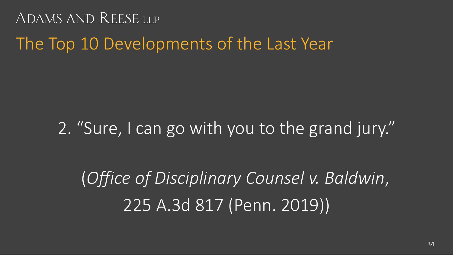The Top 10 Developments of the Last Year

2. "Sure, I can go with you to the grand jury."

(*Office of Disciplinary Counsel v. Baldwin*, 225 A.3d 817 (Penn. 2019))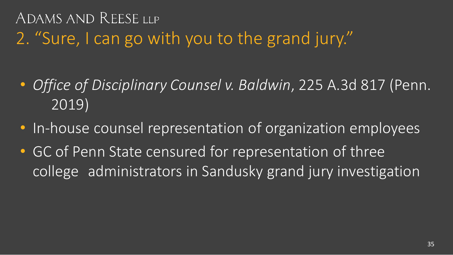ADAMS AND REESE LLP 2. "Sure, I can go with you to the grand jury."

- *Office of Disciplinary Counsel v. Baldwin*, 225 A.3d 817 (Penn. 2019)
- In-house counsel representation of organization employees
- GC of Penn State censured for representation of three college administrators in Sandusky grand jury investigation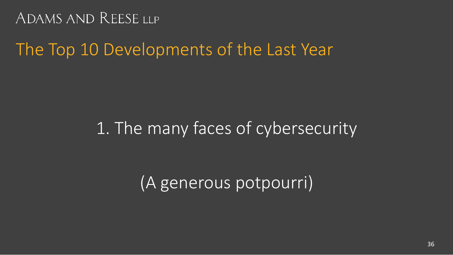### The Top 10 Developments of the Last Year

### 1. The many faces of cybersecurity

(A generous potpourri)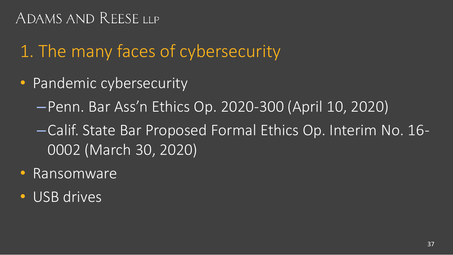# 1. The many faces of cybersecurity

- Pandemic cybersecurity
	- –Penn. Bar Ass'n Ethics Op. 2020-300 (April 10, 2020)
	- –Calif. State Bar Proposed Formal Ethics Op. Interim No. 16- 0002 (March 30, 2020)
- Ransomware
- USB drives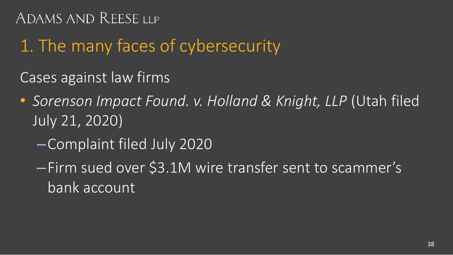# 1. The many faces of cybersecurity

Cases against law firms

- *Sorenson Impact Found. v. Holland & Knight, LLP* (Utah filed July 21, 2020)
	- –Complaint filed July 2020
	- –Firm sued over \$3.1M wire transfer sent to scammer's bank account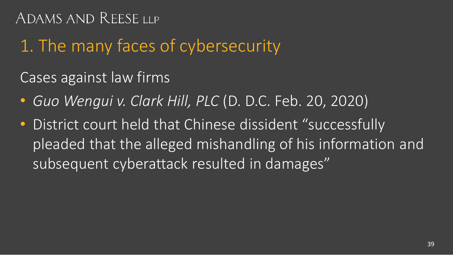## 1. The many faces of cybersecurity

Cases against law firms

- *Guo Wengui v. Clark Hill, PLC* (D. D.C. Feb. 20, 2020)
- District court held that Chinese dissident "successfully pleaded that the alleged mishandling of his information and subsequent cyberattack resulted in damages"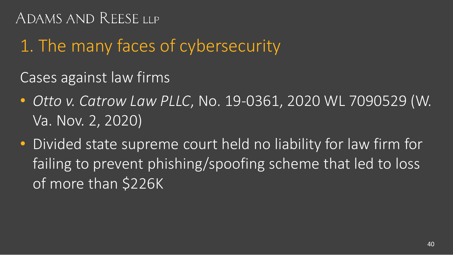# 1. The many faces of cybersecurity

Cases against law firms

- *Otto v. Catrow Law PLLC*, No. 19-0361, 2020 WL 7090529 (W. Va. Nov. 2, 2020)
- Divided state supreme court held no liability for law firm for failing to prevent phishing/spoofing scheme that led to loss of more than \$226K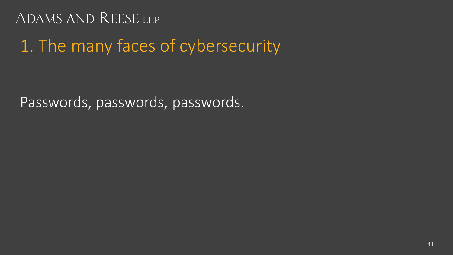## 1. The many faces of cybersecurity

Passwords, passwords, passwords.